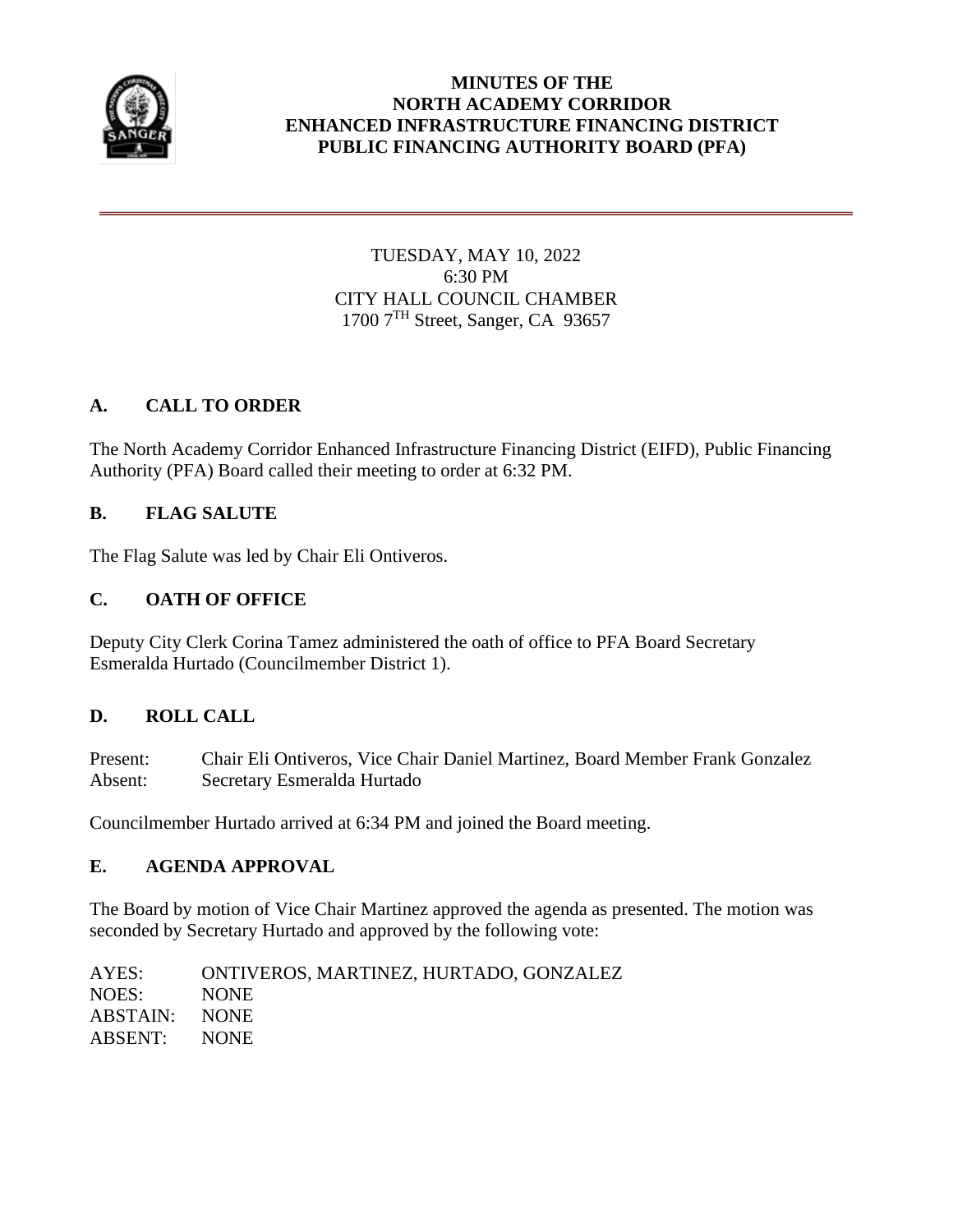

## **MINUTES OF THE NORTH ACADEMY CORRIDOR ENHANCED INFRASTRUCTURE FINANCING DISTRICT PUBLIC FINANCING AUTHORITY BOARD (PFA)**

# TUESDAY, MAY 10, 2022 6:30 PM CITY HALL COUNCIL CHAMBER 1700 7<sup>TH</sup> Street, Sanger, CA 93657

# **A. CALL TO ORDER**

The North Academy Corridor Enhanced Infrastructure Financing District (EIFD), Public Financing Authority (PFA) Board called their meeting to order at 6:32 PM.

# **B. FLAG SALUTE**

The Flag Salute was led by Chair Eli Ontiveros.

# **C. OATH OF OFFICE**

Deputy City Clerk Corina Tamez administered the oath of office to PFA Board Secretary Esmeralda Hurtado (Councilmember District 1).

## **D. ROLL CALL**

Present: Chair Eli Ontiveros, Vice Chair Daniel Martinez, Board Member Frank Gonzalez Absent: Secretary Esmeralda Hurtado

Councilmember Hurtado arrived at 6:34 PM and joined the Board meeting.

## **E. AGENDA APPROVAL**

The Board by motion of Vice Chair Martinez approved the agenda as presented. The motion was seconded by Secretary Hurtado and approved by the following vote:

AYES: ONTIVEROS, MARTINEZ, HURTADO, GONZALEZ NOES: NONE ABSTAIN: NONE ABSENT: NONE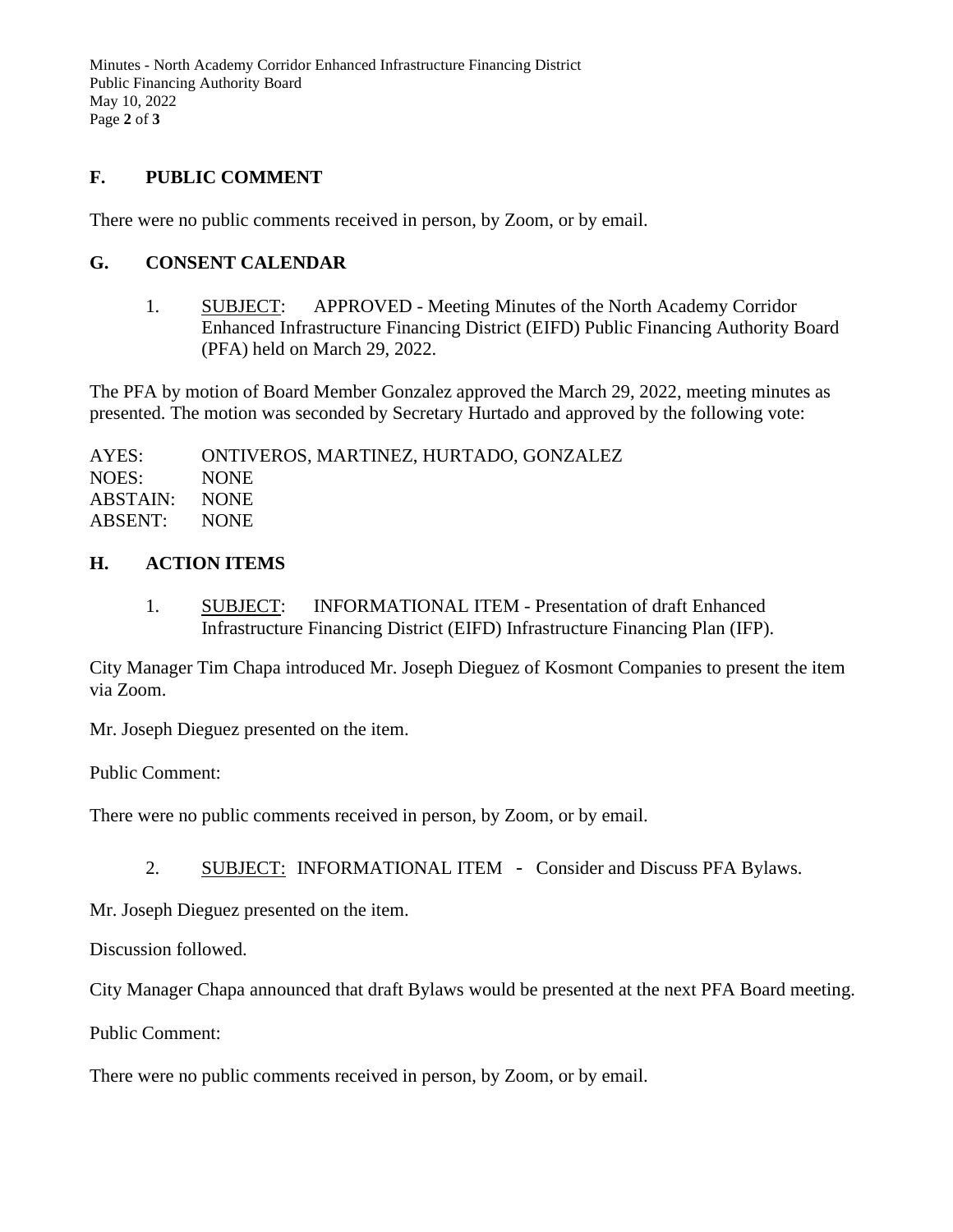Minutes - North Academy Corridor Enhanced Infrastructure Financing District Public Financing Authority Board May 10, 2022 Page **2** of **3**

## **F. PUBLIC COMMENT**

There were no public comments received in person, by Zoom, or by email.

#### **G. CONSENT CALENDAR**

1. SUBJECT: APPROVED - Meeting Minutes of the North Academy Corridor Enhanced Infrastructure Financing District (EIFD) Public Financing Authority Board (PFA) held on March 29, 2022.

The PFA by motion of Board Member Gonzalez approved the March 29, 2022, meeting minutes as presented. The motion was seconded by Secretary Hurtado and approved by the following vote:

AYES: ONTIVEROS, MARTINEZ, HURTADO, GONZALEZ NOES: NONE ABSTAIN: NONE ABSENT: NONE

## **H. ACTION ITEMS**

1. SUBJECT: INFORMATIONAL ITEM - Presentation of draft Enhanced Infrastructure Financing District (EIFD) Infrastructure Financing Plan (IFP).

City Manager Tim Chapa introduced Mr. Joseph Dieguez of Kosmont Companies to present the item via Zoom.

Mr. Joseph Dieguez presented on the item.

Public Comment:

There were no public comments received in person, by Zoom, or by email.

2. SUBJECT: INFORMATIONAL ITEM - Consider and Discuss PFA Bylaws.

Mr. Joseph Dieguez presented on the item.

Discussion followed.

City Manager Chapa announced that draft Bylaws would be presented at the next PFA Board meeting.

Public Comment:

There were no public comments received in person, by Zoom, or by email.